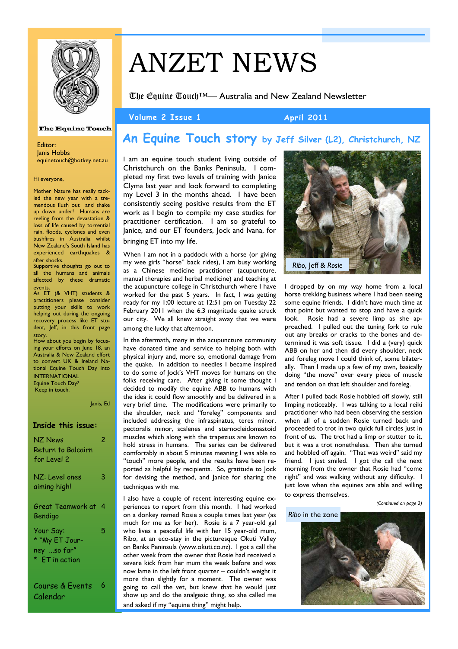

# ANZET NEWS

The Equine Touch™— Australia and New Zealand Newsletter

#### Volume 2 Issue 1 April 2011

#### **The Equine Touch**

Editor: Janis Hobbs equinetouch@hotkey.net.au

Hi everyone,

Mother Nature has really tackled the new year with a tremendous flush out and shake up down under! Humans are reeling from the devastation & loss of life caused by torrential rain, floods, cyclones and even bushfires in Australia whilst New Zealand's South Island has experienced earthquakes & after shocks.

Supportive thoughts go out to all the humans and animals affected by these dramatic

events. As ET (& VHT) students & practitioners please consider putting your skills to work helping out during the ongoing recovery process like ET student, Jeff, in this front page

story. How about you begin by focusing your efforts on June 18, an Australia & New Zealand effort to convert UK & Ireland National Equine Touch Day into INTERNATIONAL Equine Touch Day? Keep in touch.

Janis, Ed

#### **Inside this issue:**

| NZ News<br>Return to Balcairn       | 2 |
|-------------------------------------|---|
| for Level 2<br>NZ: Level ones       | 3 |
| aiming high!<br>Great Teamwork at 4 |   |
| Bendigo<br>Your Say:                | 5 |
| * "My ET Jour-<br>ney so far"       |   |
| * ET in action                      |   |
| Course & Events                     | 6 |

Calendar

### **An Equine Touch story by Jeff Silver (L2), Christchurch, NZ**

I am an equine touch student living outside of Christchurch on the Banks Peninsula. I completed my first two levels of training with Janice Clyma last year and look forward to completing my Level 3 in the months ahead. I have been consistently seeing positive results from the ET work as I begin to compile my case studies for practitioner certification. I am so grateful to Janice, and our ET founders, Jock and Ivana, for bringing ET into my life.

When I am not in a paddock with a horse (or giving my wee girls "horse" back rides), I am busy working as a Chinese medicine practitioner (acupuncture, manual therapies and herbal medicine) and teaching at the acupuncture college in Christchurch where I have worked for the past 5 years. In fact, I was getting ready for my 1:00 lecture at 12:51 pm on Tuesday 22 February 2011 when the 6.3 magnitude quake struck our city. We all knew straight away that we were among the lucky that afternoon.

In the aftermath, many in the acupuncture community have donated time and service to helping both with physical injury and, more so, emotional damage from the quake. In addition to needles I became inspired to do some of Jock's VHT moves for humans on the folks receiving care. After giving it some thought I decided to modify the equine ABB to humans with the idea it could flow smoothly and be delivered in a very brief time. The modifications were primarily to the shoulder, neck and "foreleg" components and included addressing the infraspinatus, teres minor, pectoralis minor, scalenes and sternocleidomastoid muscles which along with the trapezius are known to hold stress in humans. The series can be delivered comfortably in about 5 minutes meaning I was able to "touch" more people, and the results have been reported as helpful by recipients. So, gratitude to Jock for devising the method, and Janice for sharing the techniques with me.

I also have a couple of recent interesting equine experiences to report from this month. I had worked on a donkey named Rosie a couple times last year (as much for me as for her). Rosie is a 7 year-old gal who lives a peaceful life with her 15 year-old mum, Ribo, at an eco-stay in the picturesque Okuti Valley on Banks Peninsula (www.okuti.co.nz). I got a call the other week from the owner that Rosie had received a severe kick from her mum the week before and was now lame in the left front quarter – couldn't weight it more than slightly for a moment. The owner was going to call the vet, but knew that he would just show up and do the analgesic thing, so she called me and asked if my "equine thing" might help.



I dropped by on my way home from a local horse trekking business where I had been seeing some equine friends. I didn't have much time at that point but wanted to stop and have a quick look. Rosie had a severe limp as she approached. I pulled out the tuning fork to rule out any breaks or cracks to the bones and determined it was soft tissue. I did a (very) quick ABB on her and then did every shoulder, neck and foreleg move I could think of, some bilaterally. Then I made up a few of my own, basically doing "the move" over every piece of muscle and tendon on that left shoulder and foreleg.

After I pulled back Rosie hobbled off slowly, still limping noticeably. I was talking to a local reiki practitioner who had been observing the session when all of a sudden Rosie turned back and proceeded to trot in two quick full circles just in front of us. The trot had a limp or stutter to it, but it was a trot nonetheless. Then she turned and hobbled off again. "That was weird" said my friend. I just smiled. I got the call the next morning from the owner that Rosie had "come right" and was walking without any difficulty. I just love when the equines are able and willing to express themselves.

#### *(Continued on page 2)*

#### *Ribo* in the zone

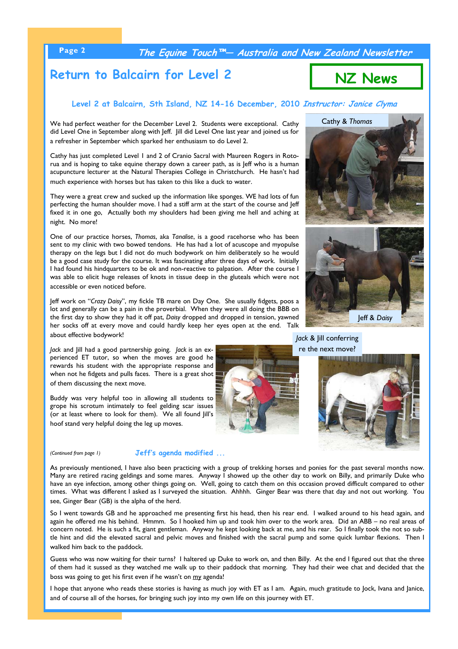**Page 2 The Equine Touch™— Australia and New Zealand Newsletter** 

### **Return to Balcairn for Level 2**

#### **Level 2 at Balcairn, Sth Island, NZ 14-16 December, 2010 Instructor: Janice Clyma**

We had perfect weather for the December Level 2. Students were exceptional. Cathy did Level One in September along with Jeff. Jill did Level One last year and joined us for a refresher in September which sparked her enthusiasm to do Level 2.

Cathy has just completed Level 1 and 2 of Cranio Sacral with Maureen Rogers in Rotorua and is hoping to take equine therapy down a career path, as is Jeff who is a human acupuncture lecturer at the Natural Therapies College in Christchurch. He hasn't had much experience with horses but has taken to this like a duck to water.

They were a great crew and sucked up the information like sponges. WE had lots of fun perfecting the human shoulder move. I had a stiff arm at the start of the course and Jeff fixed it in one go, Actually both my shoulders had been giving me hell and aching at night. No more!

One of our practice horses, *Thomas*, aka *Tanalise*, is a good racehorse who has been sent to my clinic with two bowed tendons. He has had a lot of acuscope and myopulse therapy on the legs but I did not do much bodywork on him deliberately so he would be a good case study for the course. It was fascinating after three days of work. Initially I had found his hindquarters to be ok and non-reactive to palpation. After the course I was able to elicit huge releases of knots in tissue deep in the gluteals which were not accessible or even noticed before.

Jeff work on "*Crazy Daisy*", my fickle TB mare on Day One. She usually fidgets, poos a lot and generally can be a pain in the proverbial. When they were all doing the BBB on the first day to show they had it off pat, *Daisy* dropped and dropped in tension, yawned her socks off at every move and could hardly keep her eyes open at the end. Talk about effective bodywork!

*Jack* and Jill had a good partnership going. *Jack* is an experienced ET tutor, so when the moves are good he rewards his student with the appropriate response and when not he fidgets and pulls faces. There is a great shot of them discussing the next move.

Buddy was very helpful too in allowing all students to grope his scrotum intimately to feel gelding scar issues (or at least where to look for them). We all found Jill's hoof stand very helpful doing the leg up moves.

#### *(Continued from page 1)* **Jeff's agenda modified ...**

As previously mentioned, I have also been practicing with a group of trekking horses and ponies for the past several months now. Many are retired racing geldings and some mares. Anyway I showed up the other day to work on Billy, and primarily Duke who have an eye infection, among other things going on. Well, going to catch them on this occasion proved difficult compared to other times. What was different I asked as I surveyed the situation. Ahhhh. Ginger Bear was there that day and not out working. You see, Ginger Bear (GB) is the alpha of the herd.

So I went towards GB and he approached me presenting first his head, then his rear end. I walked around to his head again, and again he offered me his behind. Hmmm. So I hooked him up and took him over to the work area. Did an ABB – no real areas of concern noted. He is such a fit, giant gentleman. Anyway he kept looking back at me, and his rear. So I finally took the not so subtle hint and did the elevated sacral and pelvic moves and finished with the sacral pump and some quick lumbar flexions. Then I walked him back to the paddock.

Guess who was now waiting for their turns? I haltered up Duke to work on, and then Billy. At the end I figured out that the three of them had it sussed as they watched me walk up to their paddock that morning. They had their wee chat and decided that the boss was going to get his first even if he wasn't on my agenda!

I hope that anyone who reads these stories is having as much joy with ET as I am. Again, much gratitude to Jock, Ivana and Janice, and of course all of the horses, for bringing such joy into my own life on this journey with ET.





Jeff & *Daisy*

*Jack* & Jill conferring re the next move?





Cathy & *Thomas*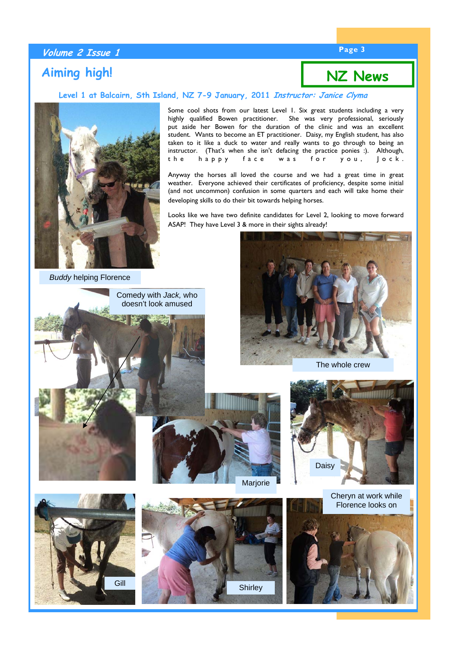### **Page 3 Volume 2 Issue 1**

### **Aiming high!**

### **NZ News**

#### **Level 1 at Balcairn, Sth Island, NZ 7-9 January, 2011 Instructor: Janice Clyma**



Some cool shots from our latest Level 1. Six great students including a very highly qualified Bowen practitioner. She was very professional, seriously put aside her Bowen for the duration of the clinic and was an excellent student. Wants to become an ET practitioner. Daisy, my English student, has also taken to it like a duck to water and really wants to go through to being an instructor. (That's when she isn't defacing the practice ponies :). Although, the happy face was for you, Jock.

Anyway the horses all loved the course and we had a great time in great weather. Everyone achieved their certificates of proficiency, despite some initial (and not uncommon) confusion in some quarters and each will take home their developing skills to do their bit towards helping horses.

Looks like we have two definite candidates for Level 2, looking to move forward ASAP! They have Level 3 & more in their sights already!

*Buddy* helping Florence

Comedy with *Jack,* who doesn't look amused













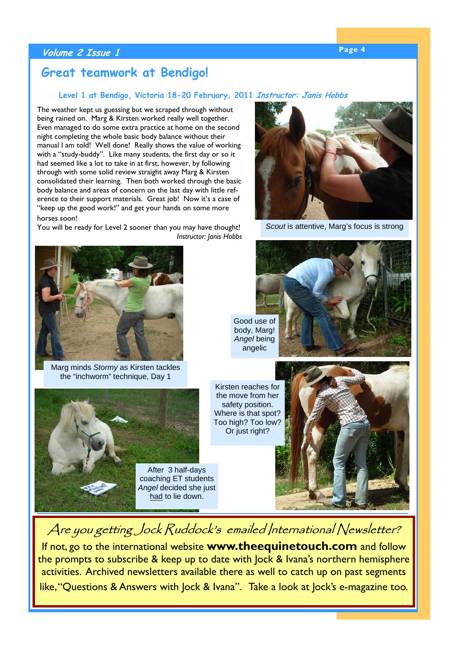### **Page 4 Volume 2 Issue 1**

### **Great teamwork at Bendigo!**

### **Level 1 at Bendigo, Victoria 18-20 February, 2011 Instructor: Janis Hobbs**

The weather kept us guessing but we scraped through without being rained on. Marg & Kirsten worked really well together. Even managed to do some extra practice at home on the second night completing the whole basic body balance without their manual I am told! Well done! Really shows the value of working with a "study-buddy". Like many students, the first day or so it had seemed like a lot to take in at first, however, by following through with some solid review straight away Marg & Kirsten consolidated their learning. Then both worked through the basic body balance and areas of concern on the last day with little reference to their support materials. Great job! Now it's a case of "keep up the good work!" and get your hands on some more

horses soon!

You will be ready for Level 2 sooner than you may have thought! *Instructor: Janis Hobbs* 



Marg minds *Stormy* as Kirsten tackles the "inchworm" technique, Day 1





*Scout* is attentive, Marg's focus is strong

Good use of body, Marg! *Angel* being angelic



Kirsten reaches for the move from her safety position. Where is that spot? Too high? Too low? Or just right?



# Are you getting Jock Ruddock's emailed International Newsletter?

If not, go to the international website **www.theequinetouch.com** and follow the prompts to subscribe & keep up to date with Jock & Ivana's northern hemisphere activities. Archived newsletters available there as well to catch up on past segments like, "Questions & Answers with Jock & Ivana". Take a look at Jock's e-magazine too.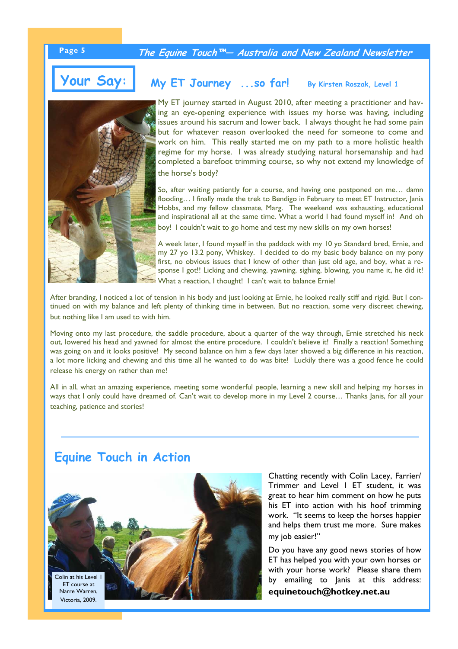**Page 5 The Equine Touch™— Australia and New Zealand Newsletter** 



**Your Say:** 



### **My ET Journey ...so far! By Kirsten Roszak, Level 1**

My ET journey started in August 2010, after meeting a practitioner and having an eye-opening experience with issues my horse was having, including issues around his sacrum and lower back. I always thought he had some pain but for whatever reason overlooked the need for someone to come and work on him. This really started me on my path to a more holistic health regime for my horse. I was already studying natural horsemanship and had completed a barefoot trimming course, so why not extend my knowledge of the horse's body?

So, after waiting patiently for a course, and having one postponed on me… damn flooding... I finally made the trek to Bendigo in February to meet ET Instructor, Janis Hobbs, and my fellow classmate, Marg. The weekend was exhausting, educational and inspirational all at the same time. What a world I had found myself in! And oh boy! I couldn't wait to go home and test my new skills on my own horses!

A week later, I found myself in the paddock with my 10 yo Standard bred, Ernie, and my 27 yo 13.2 pony, Whiskey. I decided to do my basic body balance on my pony first, no obvious issues that I knew of other than just old age, and boy, what a response I got!! Licking and chewing, yawning, sighing, blowing, you name it, he did it! What a reaction, I thought! I can't wait to balance Ernie!

After branding, I noticed a lot of tension in his body and just looking at Ernie, he looked really stiff and rigid. But I continued on with my balance and left plenty of thinking time in between. But no reaction, some very discreet chewing, but nothing like I am used to with him.

Moving onto my last procedure, the saddle procedure, about a quarter of the way through, Ernie stretched his neck out, lowered his head and yawned for almost the entire procedure. I couldn't believe it! Finally a reaction! Something was going on and it looks positive! My second balance on him a few days later showed a big difference in his reaction, a lot more licking and chewing and this time all he wanted to do was bite! Luckily there was a good fence he could release his energy on rather than me!

All in all, what an amazing experience, meeting some wonderful people, learning a new skill and helping my horses in ways that I only could have dreamed of. Can't wait to develop more in my Level 2 course… Thanks Janis, for all your teaching, patience and stories!

### **Equine Touch in Action**



Chatting recently with Colin Lacey, Farrier/ Trimmer and Level 1 ET student, it was great to hear him comment on how he puts his ET into action with his hoof trimming work. "It seems to keep the horses happier and helps them trust me more. Sure makes my job easier!"

Do you have any good news stories of how ET has helped you with your own horses or with your horse work? Please share them by emailing to Janis at this address:

**equinetouch@hotkey.net.au**